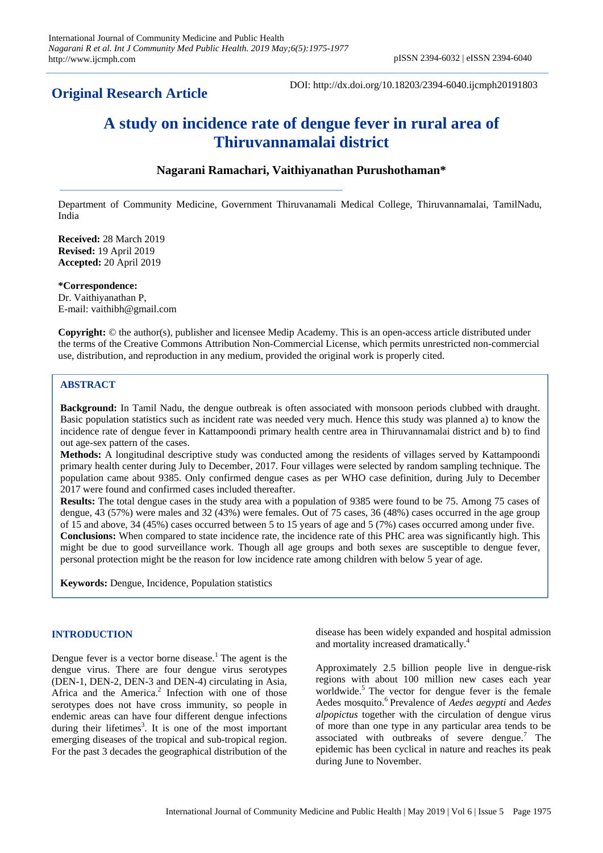## **Original Research Article**

DOI: http://dx.doi.org/10.18203/2394-6040.ijcmph20191803

# **A study on incidence rate of dengue fever in rural area of Thiruvannamalai district**

### **Nagarani Ramachari, Vaithiyanathan Purushothaman\***

Department of Community Medicine, Government Thiruvanamali Medical College, Thiruvannamalai, TamilNadu, India

**Received:** 28 March 2019 **Revised:** 19 April 2019 **Accepted:** 20 April 2019

**\*Correspondence:** Dr. Vaithiyanathan P, E-mail: vaithibh@gmail.com

**Copyright:** © the author(s), publisher and licensee Medip Academy. This is an open-access article distributed under the terms of the Creative Commons Attribution Non-Commercial License, which permits unrestricted non-commercial use, distribution, and reproduction in any medium, provided the original work is properly cited.

#### **ABSTRACT**

**Background:** In Tamil Nadu, the dengue outbreak is often associated with monsoon periods clubbed with draught. Basic population statistics such as incident rate was needed very much. Hence this study was planned a) to know the incidence rate of dengue fever in Kattampoondi primary health centre area in Thiruvannamalai district and b) to find out age-sex pattern of the cases.

**Methods:** A longitudinal descriptive study was conducted among the residents of villages served by Kattampoondi primary health center during July to December, 2017. Four villages were selected by random sampling technique. The population came about 9385. Only confirmed dengue cases as per WHO case definition, during July to December 2017 were found and confirmed cases included thereafter.

**Results:** The total dengue cases in the study area with a population of 9385 were found to be 75. Among 75 cases of dengue, 43 (57%) were males and 32 (43%) were females. Out of 75 cases, 36 (48%) cases occurred in the age group of 15 and above, 34 (45%) cases occurred between 5 to 15 years of age and 5 (7%) cases occurred among under five. **Conclusions:** When compared to state incidence rate, the incidence rate of this PHC area was significantly high. This might be due to good surveillance work. Though all age groups and both sexes are susceptible to dengue fever, personal protection might be the reason for low incidence rate among children with below 5 year of age.

**Keywords:** Dengue, Incidence, Population statistics

#### **INTRODUCTION**

Dengue fever is a vector borne disease.<sup>1</sup> The agent is the dengue virus. There are four dengue virus serotypes (DEN-1, DEN-2, DEN-3 and DEN-4) circulating in Asia, Africa and the America. $2$  Infection with one of those serotypes does not have cross immunity, so people in endemic areas can have four different dengue infections during their lifetimes<sup>3</sup>. It is one of the most important emerging diseases of the tropical and sub-tropical region. For the past 3 decades the geographical distribution of the disease has been widely expanded and hospital admission and mortality increased dramatically.<sup>4</sup>

Approximately 2.5 billion people live in dengue-risk regions with about 100 million new cases each year worldwide. $5$  The vector for dengue fever is the female Aedes mosquito.<sup>6</sup> Prevalence of *Aedes aegypti* and *Aedes alpopictus* together with the circulation of dengue virus of more than one type in any particular area tends to be associated with outbreaks of severe dengue.<sup>7</sup> The epidemic has been cyclical in nature and reaches its peak during June to November.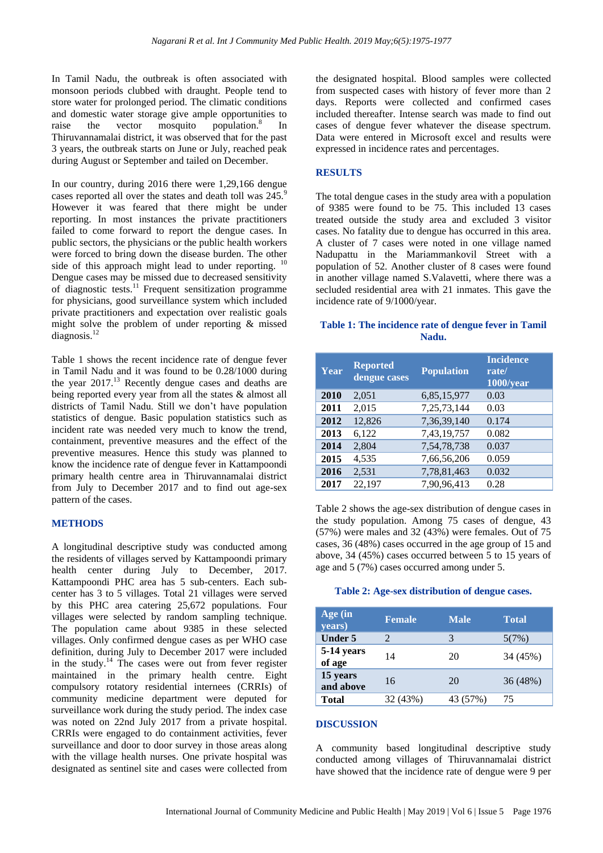In Tamil Nadu, the outbreak is often associated with monsoon periods clubbed with draught. People tend to store water for prolonged period. The climatic conditions and domestic water storage give ample opportunities to raise the vector mosquito population.<sup>8</sup> In raise the vector mosquito population.<sup>8</sup> In Thiruvannamalai district, it was observed that for the past 3 years, the outbreak starts on June or July, reached peak during August or September and tailed on December.

In our country, during 2016 there were 1,29,166 dengue cases reported all over the states and death toll was 245.<sup>9</sup> However it was feared that there might be under reporting. In most instances the private practitioners failed to come forward to report the dengue cases. In public sectors, the physicians or the public health workers were forced to bring down the disease burden. The other side of this approach might lead to under reporting. <sup>10</sup> Dengue cases may be missed due to decreased sensitivity of diagnostic tests.<sup>11</sup> Frequent sensitization programme for physicians, good surveillance system which included private practitioners and expectation over realistic goals might solve the problem of under reporting & missed diagnosis.<sup>12</sup>

Table 1 shows the recent incidence rate of dengue fever in Tamil Nadu and it was found to be 0.28/1000 during the year 2017.<sup>13</sup> Recently dengue cases and deaths are being reported every year from all the states & almost all districts of Tamil Nadu. Still we don't have population statistics of dengue. Basic population statistics such as incident rate was needed very much to know the trend, containment, preventive measures and the effect of the preventive measures. Hence this study was planned to know the incidence rate of dengue fever in Kattampoondi primary health centre area in Thiruvannamalai district from July to December 2017 and to find out age-sex pattern of the cases.

#### **METHODS**

A longitudinal descriptive study was conducted among the residents of villages served by Kattampoondi primary health center during July to December, 2017. Kattampoondi PHC area has 5 sub-centers. Each subcenter has 3 to 5 villages. Total 21 villages were served by this PHC area catering 25,672 populations. Four villages were selected by random sampling technique. The population came about 9385 in these selected villages. Only confirmed dengue cases as per WHO case definition, during July to December 2017 were included in the study.<sup>14</sup> The cases were out from fever register maintained in the primary health centre. Eight compulsory rotatory residential internees (CRRIs) of community medicine department were deputed for surveillance work during the study period. The index case was noted on 22nd July 2017 from a private hospital. CRRIs were engaged to do containment activities, fever surveillance and door to door survey in those areas along with the village health nurses. One private hospital was designated as sentinel site and cases were collected from the designated hospital. Blood samples were collected from suspected cases with history of fever more than 2 days. Reports were collected and confirmed cases included thereafter. Intense search was made to find out cases of dengue fever whatever the disease spectrum. Data were entered in Microsoft excel and results were expressed in incidence rates and percentages.

#### **RESULTS**

The total dengue cases in the study area with a population of 9385 were found to be 75. This included 13 cases treated outside the study area and excluded 3 visitor cases. No fatality due to dengue has occurred in this area. A cluster of 7 cases were noted in one village named Nadupattu in the Mariammankovil Street with a population of 52. Another cluster of 8 cases were found in another village named S.Valavetti, where there was a secluded residential area with 21 inmates. This gave the incidence rate of 9/1000/year.

#### **Table 1: The incidence rate of dengue fever in Tamil Nadu.**

| Year | <b>Reported</b><br>dengue cases | <b>Population</b> | <b>Incidence</b><br>rate/<br>1000/year |
|------|---------------------------------|-------------------|----------------------------------------|
| 2010 | 2,051                           | 6,85,15,977       | 0.03                                   |
| 2011 | 2,015                           | 7,25,73,144       | 0.03                                   |
| 2012 | 12,826                          | 7,36,39,140       | 0.174                                  |
| 2013 | 6,122                           | 7,43,19,757       | 0.082                                  |
| 2014 | 2,804                           | 7,54,78,738       | 0.037                                  |
| 2015 | 4,535                           | 7,66,56,206       | 0.059                                  |
| 2016 | 2,531                           | 7,78,81,463       | 0.032                                  |
| 2017 | 22,197                          | 7,90,96,413       | 0.28                                   |

Table 2 shows the age-sex distribution of dengue cases in the study population. Among 75 cases of dengue, 43 (57%) were males and 32 (43%) were females. Out of 75 cases, 36 (48%) cases occurred in the age group of 15 and above, 34 (45%) cases occurred between 5 to 15 years of age and 5 (7%) cases occurred among under 5.

#### **Table 2: Age-sex distribution of dengue cases.**

| Age (in<br>years)     | <b>Female</b>               | <b>Male</b> | <b>Total</b> |
|-----------------------|-----------------------------|-------------|--------------|
| <b>Under 5</b>        | $\mathcal{D}_{\mathcal{L}}$ | 3           | 5(7%)        |
| 5-14 years<br>of age  | 14                          | 20          | 34 (45%)     |
| 15 years<br>and above | 16                          | 20          | 36 (48%)     |
| <b>Total</b>          | 32 (43%)                    | 43 (57%)    | 75           |

#### **DISCUSSION**

A community based longitudinal descriptive study conducted among villages of Thiruvannamalai district have showed that the incidence rate of dengue were 9 per